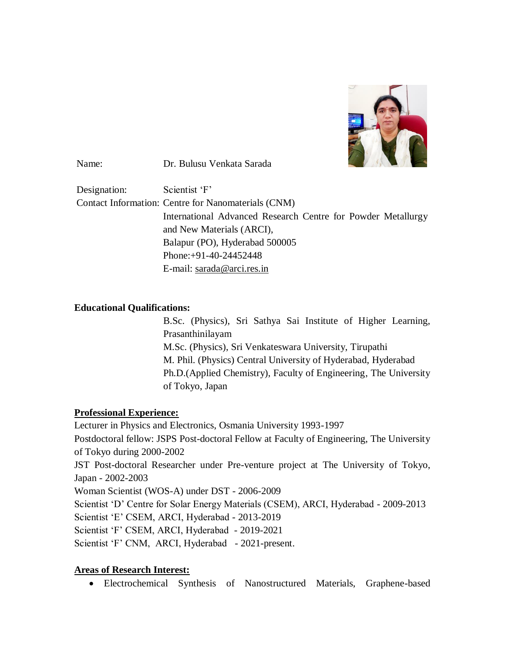

Name: Dr. Bulusu Venkata Sarada

Designation: Scientist 'F' Contact Information: Centre for Nanomaterials (CNM) International Advanced Research Centre for Powder Metallurgy and New Materials (ARCI), Balapur (PO), Hyderabad 500005 Phone:+91-40-24452448 E-mail: [sarada@arci.res.in](mailto:sarada@arci.res.in)

### **Educational Qualifications:**

B.Sc. (Physics), Sri Sathya Sai Institute of Higher Learning, Prasanthinilayam M.Sc. (Physics), Sri Venkateswara University, Tirupathi M. Phil. (Physics) Central University of Hyderabad, Hyderabad Ph.D.(Applied Chemistry), Faculty of Engineering, The University of Tokyo, Japan

## **Professional Experience:**

Lecturer in Physics and Electronics, Osmania University 1993-1997 Postdoctoral fellow: JSPS Post-doctoral Fellow at Faculty of Engineering, The University of Tokyo during 2000-2002 JST Post-doctoral Researcher under Pre-venture project at The University of Tokyo, Japan - 2002-2003 Woman Scientist (WOS-A) under DST - 2006-2009 Scientist 'D' Centre for Solar Energy Materials (CSEM), ARCI, Hyderabad - 2009-2013 Scientist 'E' CSEM, ARCI, Hyderabad - 2013-2019 Scientist 'F' CSEM, ARCI, Hyderabad - 2019-2021 Scientist 'F' CNM, ARCI, Hyderabad - 2021-present.

## **Areas of Research Interest:**

Electrochemical Synthesis of Nanostructured Materials, Graphene-based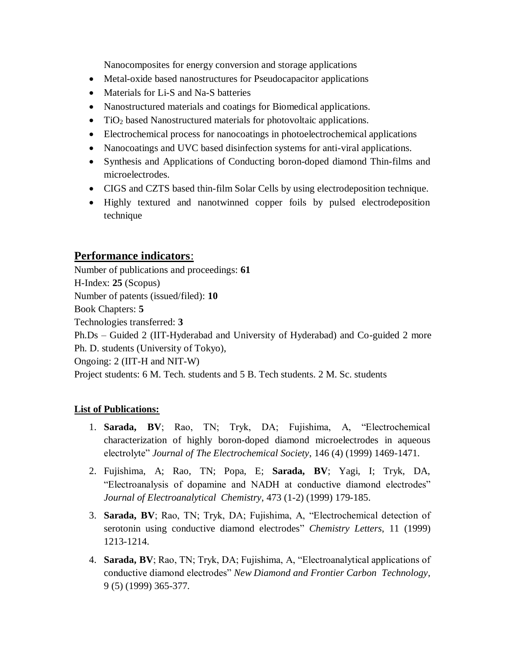Nanocomposites for energy conversion and storage applications

- Metal-oxide based nanostructures for Pseudocapacitor applications
- Materials for Li-S and Na-S batteries
- Nanostructured materials and coatings for Biomedical applications.
- TiO<sub>2</sub> based Nanostructured materials for photovoltaic applications.
- Electrochemical process for nanocoatings in photoelectrochemical applications
- Nanocoatings and UVC based disinfection systems for anti-viral applications.
- Synthesis and Applications of Conducting boron-doped diamond Thin-films and microelectrodes.
- CIGS and CZTS based thin-film Solar Cells by using electrodeposition technique.
- Highly textured and nanotwinned copper foils by pulsed electrodeposition technique

# **Performance indicators**:

Number of publications and proceedings: **61** H-Index: **25** (Scopus) Number of patents (issued/filed): **10** Book Chapters: **5** Technologies transferred: **3** Ph.Ds – Guided 2 (IIT-Hyderabad and University of Hyderabad) and Co-guided 2 more Ph. D. students (University of Tokyo), Ongoing: 2 (IIT-H and NIT-W) Project students: 6 M. Tech. students and 5 B. Tech students. 2 M. Sc. students

## **List of Publications:**

- 1. **Sarada, BV**; Rao, TN; Tryk, DA; Fujishima, A, "Electrochemical characterization of highly boron-doped diamond microelectrodes in aqueous electrolyte" *Journal of The Electrochemical Society*, 146 (4) (1999) 1469-1471.
- 2. Fujishima, A; Rao, TN; Popa, E; **Sarada, BV**; Yagi, I; Tryk, DA, "Electroanalysis of dopamine and NADH at conductive diamond electrodes" *Journal of Electroanalytical Chemistry*, 473 (1-2) (1999) 179-185.
- 3. **Sarada, BV**; Rao, TN; Tryk, DA; Fujishima, A, "Electrochemical detection of serotonin using conductive diamond electrodes" *Chemistry Letters*, 11 (1999) 1213-1214.
- 4. **Sarada, BV**; Rao, TN; Tryk, DA; Fujishima, A, "Electroanalytical applications of conductive diamond electrodes" *New Diamond and Frontier Carbon Technology*, 9 (5) (1999) 365-377.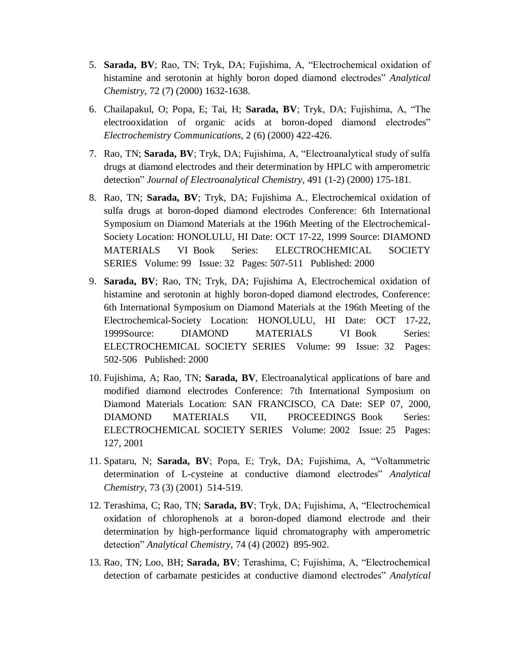- 5. **Sarada, BV**; Rao, TN; Tryk, DA; Fujishima, A, "Electrochemical oxidation of histamine and serotonin at highly boron doped diamond electrodes" *Analytical Chemistry*, 72 (7) (2000) 1632-1638.
- 6. Chailapakul, O; Popa, E; Tai, H; **Sarada, BV**; Tryk, DA; Fujishima, A, "The electrooxidation of organic acids at boron-doped diamond electrodes" *Electrochemistry Communications*, 2 (6) (2000) 422-426.
- 7. Rao, TN; **Sarada, BV**; Tryk, DA; Fujishima, A, "Electroanalytical study of sulfa drugs at diamond electrodes and their determination by HPLC with amperometric detection" *Journal of Electroanalytical Chemistry*, 491 (1-2) (2000) 175-181.
- 8. Rao, TN; **Sarada, BV**; Tryk, DA; Fujishima A., Electrochemical oxidation of sulfa drugs at boron-doped diamond electrodes Conference: 6th International Symposium on Diamond Materials at the 196th Meeting of the Electrochemical-Society Location: HONOLULU, HI Date: OCT 17-22, 1999 Source: DIAMOND MATERIALS VI Book Series: ELECTROCHEMICAL SOCIETY SERIES Volume: 99 Issue: 32 Pages: 507-511 Published: 2000
- 9. **Sarada, BV**; Rao, TN; Tryk, DA; Fujishima A, Electrochemical oxidation of histamine and serotonin at highly boron-doped diamond electrodes, Conference: 6th International Symposium on Diamond Materials at the 196th Meeting of the Electrochemical-Society Location: HONOLULU, HI Date: OCT 17-22, 1999Source: DIAMOND MATERIALS VI Book Series: ELECTROCHEMICAL SOCIETY SERIES Volume: 99 Issue: 32 Pages: 502-506 Published: 2000
- 10. Fujishima, A; Rao, TN; **Sarada, BV**, Electroanalytical applications of bare and modified diamond electrodes Conference: 7th International Symposium on Diamond Materials Location: SAN FRANCISCO, CA Date: SEP 07, 2000, DIAMOND MATERIALS VII, PROCEEDINGS Book Series: ELECTROCHEMICAL SOCIETY SERIES Volume: 2002 Issue: 25 Pages: 127, 2001
- 11. Spataru, N; **Sarada, BV**; Popa, E; Tryk, DA; Fujishima, A, "Voltammetric determination of L-cysteine at conductive diamond electrodes" *Analytical Chemistry*, 73 (3) (2001) 514-519.
- 12. Terashima, C; Rao, TN; **Sarada, BV**; Tryk, DA; Fujishima, A, "Electrochemical oxidation of chlorophenols at a boron-doped diamond electrode and their determination by high-performance liquid chromatography with amperometric detection" *Analytical Chemistry*, 74 (4) (2002) 895-902.
- 13. Rao, TN; Loo, BH; **Sarada, BV**; Terashima, C; Fujishima, A, "Electrochemical detection of carbamate pesticides at conductive diamond electrodes" *Analytical*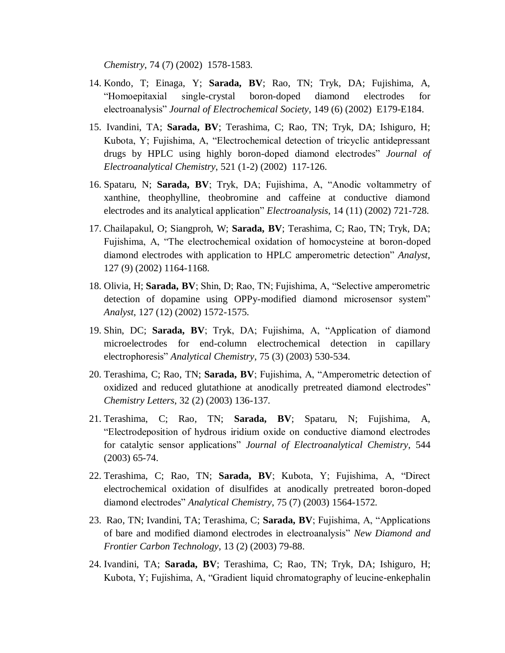*Chemistry*, 74 (7) (2002) 1578-1583.

- 14. Kondo, T; Einaga, Y; **Sarada, BV**; Rao, TN; Tryk, DA; Fujishima, A, "Homoepitaxial single-crystal boron-doped diamond electrodes for electroanalysis" *Journal of Electrochemical Society*, 149 (6) (2002) E179-E184.
- 15. Ivandini, TA; **Sarada, BV**; Terashima, C; Rao, TN; Tryk, DA; Ishiguro, H; Kubota, Y; Fujishima, A, "Electrochemical detection of tricyclic antidepressant drugs by HPLC using highly boron-doped diamond electrodes" *Journal of Electroanalytical Chemistry*, 521 (1-2) (2002) 117-126.
- 16. Spataru, N; **Sarada, BV**; Tryk, DA; Fujishima, A, "Anodic voltammetry of xanthine, theophylline, theobromine and caffeine at conductive diamond electrodes and its analytical application" *Electroanalysis*, 14 (11) (2002) 721-728.
- 17. Chailapakul, O; Siangproh, W; **Sarada, BV**; Terashima, C; Rao, TN; Tryk, DA; Fujishima, A, "The electrochemical oxidation of homocysteine at boron-doped diamond electrodes with application to HPLC amperometric detection" *Analyst*, 127 (9) (2002) 1164-1168.
- 18. Olivia, H; **Sarada, BV**; Shin, D; Rao, TN; Fujishima, A, "Selective amperometric detection of dopamine using OPPy-modified diamond microsensor system" *Analyst*, 127 (12) (2002) 1572-1575.
- 19. Shin, DC; **Sarada, BV**; Tryk, DA; Fujishima, A, "Application of diamond microelectrodes for end-column electrochemical detection in capillary electrophoresis" *Analytical Chemistry*, 75 (3) (2003) 530-534.
- 20. Terashima, C; Rao, TN; **Sarada, BV**; Fujishima, A, "Amperometric detection of oxidized and reduced glutathione at anodically pretreated diamond electrodes" *Chemistry Letters*, 32 (2) (2003) 136-137.
- 21. Terashima, C; Rao, TN; **Sarada, BV**; Spataru, N; Fujishima, A, "Electrodeposition of hydrous iridium oxide on conductive diamond electrodes for catalytic sensor applications" *Journal of Electroanalytical Chemistry*, 544 (2003) 65-74.
- 22. Terashima, C; Rao, TN; **Sarada, BV**; Kubota, Y; Fujishima, A, "Direct electrochemical oxidation of disulfides at anodically pretreated boron-doped diamond electrodes" *Analytical Chemistry*, 75 (7) (2003) 1564-1572.
- 23. Rao, TN; Ivandini, TA; Terashima, C; **Sarada, BV**; Fujishima, A, "Applications of bare and modified diamond electrodes in electroanalysis" *New Diamond and Frontier Carbon Technology*, 13 (2) (2003) 79-88.
- 24. Ivandini, TA; **Sarada, BV**; Terashima, C; Rao, TN; Tryk, DA; Ishiguro, H; Kubota, Y; Fujishima, A, "Gradient liquid chromatography of leucine-enkephalin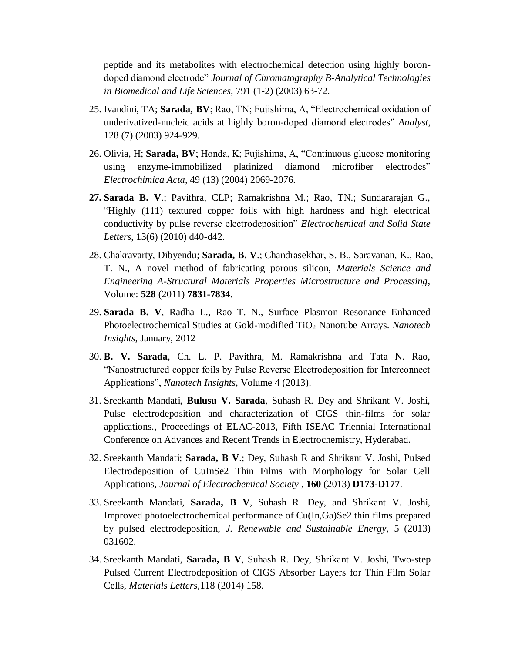peptide and its metabolites with electrochemical detection using highly borondoped diamond electrode" *Journal of Chromatography B-Analytical Technologies in Biomedical and Life Sciences*, 791 (1-2) (2003) 63-72.

- 25. Ivandini, TA; **Sarada, BV**; Rao, TN; Fujishima, A, "Electrochemical oxidation of underivatized-nucleic acids at highly boron-doped diamond electrodes" *Analyst*, 128 (7) (2003) 924-929.
- 26. Olivia, H; **Sarada, BV**; Honda, K; Fujishima, A, "Continuous glucose monitoring using enzyme-immobilized platinized diamond microfiber electrodes" *Electrochimica Acta*, 49 (13) (2004) 2069-2076.
- **27. Sarada B. V**.; Pavithra, CLP; Ramakrishna M.; Rao, TN.; Sundararajan G., "Highly (111) textured copper foils with high hardness and high electrical conductivity by pulse reverse electrodeposition" *Electrochemical and Solid State Letters*, 13(6) (2010) d40-d42.
- 28. Chakravarty, Dibyendu; **Sarada, B. V**.; Chandrasekhar, S. B., Saravanan, K., Rao, T. N., A novel method of fabricating porous silicon, *Materials Science and Engineering A-Structural Materials Properties Microstructure and Processing*, Volume: **528** (2011) **7831-7834**.
- 29. **Sarada B. V**, Radha L., Rao T. N., Surface Plasmon Resonance Enhanced Photoelectrochemical Studies at Gold-modified TiO<sup>2</sup> Nanotube Arrays. *Nanotech Insights*, January, 2012
- 30. **B. V. Sarada**, Ch. L. P. Pavithra, M. Ramakrishna and Tata N. Rao, "Nanostructured copper foils by Pulse Reverse Electrodeposition for Interconnect Applications", *Nanotech Insights*, Volume 4 (2013).
- 31. Sreekanth Mandati, **Bulusu V. Sarada**, Suhash R. Dey and Shrikant V. Joshi, Pulse electrodeposition and characterization of CIGS thin-films for solar applications., Proceedings of ELAC-2013, Fifth ISEAC Triennial International Conference on Advances and Recent Trends in Electrochemistry, Hyderabad.
- 32. Sreekanth Mandati; **Sarada, B V**.; Dey, Suhash R and Shrikant V. Joshi, [Pulsed](http://apps.webofknowledge.com/full_record.do?product=UA&search_mode=GeneralSearch&qid=1&SID=X2S82X2d4a95YUt1FtS&page=1&doc=1)  [Electrodeposition of CuInSe2 Thin Films with Morphology for Solar Cell](http://apps.webofknowledge.com/full_record.do?product=UA&search_mode=GeneralSearch&qid=1&SID=X2S82X2d4a95YUt1FtS&page=1&doc=1)  [Applications,](http://apps.webofknowledge.com/full_record.do?product=UA&search_mode=GeneralSearch&qid=1&SID=X2S82X2d4a95YUt1FtS&page=1&doc=1) *Journal of Electrochemical Society* , **160** (2013) **D173-D177**.
- 33. Sreekanth Mandati, **Sarada, B V**, Suhash R. Dey, and Shrikant V. Joshi, Improved photoelectrochemical performance of Cu(In,Ga)Se2 thin films prepared by pulsed electrodeposition, *J. Renewable and Sustainable Energy*, 5 (2013) 031602.
- 34. Sreekanth Mandati, **Sarada, B V**, Suhash R. Dey, Shrikant V. Joshi, Two-step Pulsed Current Electrodeposition of CIGS Absorber Layers for Thin Film Solar Cells, *Materials Letters*,118 (2014) 158.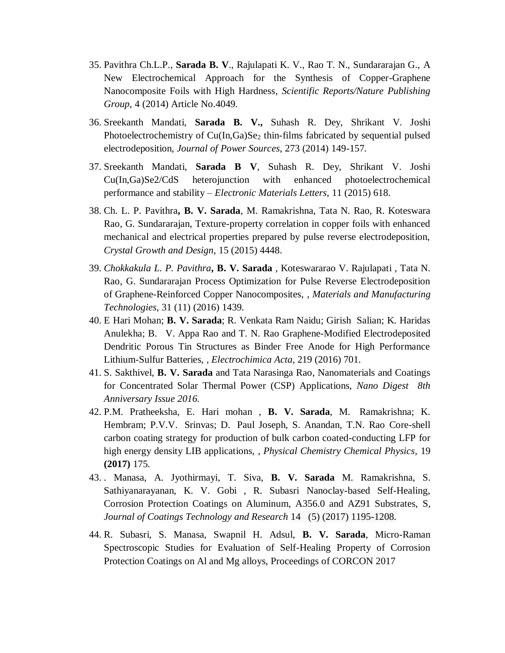- 35. Pavithra Ch.L.P., **Sarada B. V**., Rajulapati K. V., Rao T. N., Sundararajan G., [A](http://www.nature.com/srep/2014/140211/srep04049/full/srep04049.html)  [New Electrochemical Approach for the Synthesis of Copper-Graphene](http://www.nature.com/srep/2014/140211/srep04049/full/srep04049.html)  [Nanocomposite Foils with High Hardness,](http://www.nature.com/srep/2014/140211/srep04049/full/srep04049.html) *Scientific Reports/Nature Publishing Group*, 4 (2014) Article No.4049.
- 36. Sreekanth Mandati, **Sarada B. V.,** Suhash R. Dey, Shrikant V. Joshi Photoelectrochemistry of Cu(In,Ga)Se<sub>2</sub> thin-films fabricated by sequential pulsed electrodeposition, *Journal of Power Sources*, 273 (2014) 149-157.
- 37. Sreekanth Mandati, **Sarada B V**, Suhash R. Dey, Shrikant V. Joshi Cu(In,Ga)Se2/CdS heterojunction with enhanced photoelectrochemical performance and stability – *Electronic Materials Letters*, 11 (2015) 618.
- 38. Ch. L. P. Pavithra**, B. V. Sarada**, M. Ramakrishna, Tata N. Rao, R. Koteswara Rao, G. Sundararajan, Texture-property correlation in copper foils with enhanced mechanical and electrical properties prepared by pulse reverse electrodeposition, *Crystal Growth and Design*, 15 (2015) 4448.
- 39. *Chokkakula L. P. Pavithra***, B. V. Sarada** , Koteswararao V. Rajulapati , Tata N. Rao, G. Sundararajan [Process Optimization for Pulse Reverse Electrodeposition](http://www.tandfonline.com/doi/full/10.1080/10426914.2015.1127938#abstract)  [of Graphene-Reinforced Copper Nanocomposites,](http://www.tandfonline.com/doi/full/10.1080/10426914.2015.1127938#abstract) , *Materials and Manufacturing Technologies*, 31 (11) (2016) 1439.
- 40. E Hari Mohan; **B. V. Sarada**; R. Venkata Ram Naidu; Girish Salian; K. Haridas Anulekha; B. V. Appa Rao and T. N. Rao Graphene-Modified Electrodeposited Dendritic Porous Tin Structures as Binder Free Anode for High Performance Lithium-Sulfur Batteries, , *Electrochimica Acta*, 219 (2016) 701.
- 41. S. Sakthivel, **B. V. Sarada** and Tata Narasinga Rao, Nanomaterials and Coatings for Concentrated Solar Thermal Power (CSP) Applications, *Nano Digest 8th Anniversary Issue 2016.*
- 42. P.M. Pratheeksha, E. Hari mohan , **B. V. Sarada**, M. Ramakrishna; K. Hembram; P.V.V. Srinvas; D. Paul Joseph, S. Anandan, T.N. Rao Core-shell carbon coating strategy for production of bulk carbon coated-conducting LFP for high energy density LIB applications, , *Physical Chemistry Chemical Physics,* 19 **(2017)** 175.
- 43. . Manasa, A. Jyothirmayi, T. Siva, **B. V. Sarada** M. Ramakrishna, S. Sathiyanarayanan, K. V. Gobi , R. Subasri Nanoclay-based Self-Healing, Corrosion Protection Coatings on Aluminum, A356.0 and AZ91 Substrates, S, *Journal of Coatings Technology and Research* 14 (5) (2017) 1195-1208.
- 44. R. Subasri, S. Manasa, Swapnil H. Adsul, **B. V. Sarada**, Micro-Raman Spectroscopic Studies for Evaluation of Self-Healing Property of Corrosion Protection Coatings on Al and Mg alloys, Proceedings of CORCON 2017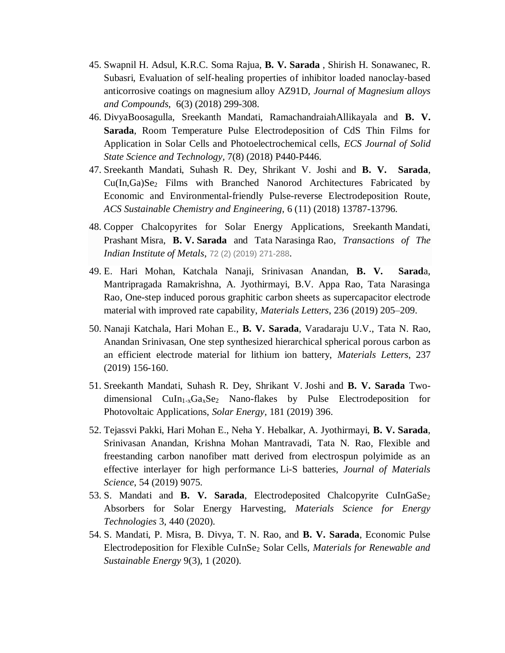- 45. Swapnil H. Adsul, K.R.C. Soma Rajua, **B. V. Sarada** , Shirish H. Sonawanec, R. Subasri, Evaluation of self-healing properties of inhibitor loaded nanoclay-based anticorrosive coatings on magnesium alloy AZ91D, *Journal of Magnesium alloys and Compounds*, 6(3) (2018) 299-308.
- 46. DivyaBoosagulla, Sreekanth Mandati, RamachandraiahAllikayala and **B. V. Sarada**, Room Temperature Pulse Electrodeposition of CdS Thin Films for Application in Solar Cells and Photoelectrochemical cells, *ECS Journal of Solid State Science and Technology,* 7(8) (2018) P440-P446.
- 47. Sreekanth Mandati, Suhash R. Dey, Shrikant V. Joshi and **B. V. Sarada**, Cu(In,Ga)Se<sup>2</sup> Films with Branched Nanorod Architectures Fabricated by Economic and Environmental-friendly Pulse-reverse Electrodeposition Route, *ACS Sustainable Chemistry and Engineering*, 6 (11) (2018) 13787-13796.
- 48. Copper Chalcopyrites for Solar Energy Applications, Sreekanth Mandati, Prashant Misra, **B. V. Sarada** and Tata Narasinga Rao, *[Transactions of The](https://www.scopus.com/sourceid/12149?origin=resultslist)  [Indian Institute of Metals](https://www.scopus.com/sourceid/12149?origin=resultslist)*, 72 (2) (2019) 271-288.
- 49. E. Hari Mohan, Katchala Nanaji, Srinivasan Anandan, **B. V. Sarad**a, Mantripragada Ramakrishna, A. Jyothirmayi, B.V. Appa Rao, Tata Narasinga Rao, One-step induced porous graphitic carbon sheets as supercapacitor electrode material with improved rate capability, *Materials Letters*, 236 (2019) 205–209.
- 50. Nanaji Katchala, Hari Mohan E., **B. V. Sarada**, Varadaraju U.V., Tata N. Rao, Anandan Srinivasan, One step synthesized hierarchical spherical porous carbon as an efficient electrode material for lithium ion battery, *[Materials](https://www.scopus.com/sourceid/28697?origin=recordpage) Letters*, 237 (2019) 156-160.
- 51. Sreekanth Mandati, Suhash R. Dey*,* Shrikant V*.* Joshi and **B. V. Sarada** Twodimensional  $CuIn<sub>1-x</sub>Ga<sub>x</sub>Se<sub>2</sub>$  Nano-flakes by Pulse Electrodeposition for Photovoltaic Applications, *Solar Energy*, 181 (2019) 396.
- 52. Tejassvi Pakki, Hari Mohan E., Neha Y. Hebalkar, A. Jyothirmayi, **B. V. Sarada**, Srinivasan Anandan, Krishna Mohan Mantravadi, Tata N. Rao, Flexible and freestanding carbon nanofiber matt derived from electrospun polyimide as an effective interlayer for high performance Li-S batteries, *Journal of Materials Science*, 54 (2019) 9075.
- 53. S. Mandati and **B. V. Sarada**, Electrodeposited Chalcopyrite CuInGaSe<sub>2</sub> Absorbers for Solar Energy Harvesting, *Materials Science for Energy Technologies* 3, 440 (2020).
- 54. S. Mandati, P. Misra, B. Divya, T. N. Rao, and **B. V. Sarada**, Economic Pulse Electrodeposition for Flexible CuInSe<sup>2</sup> Solar Cells, *Materials for Renewable and Sustainable Energy* 9(3), 1 (2020).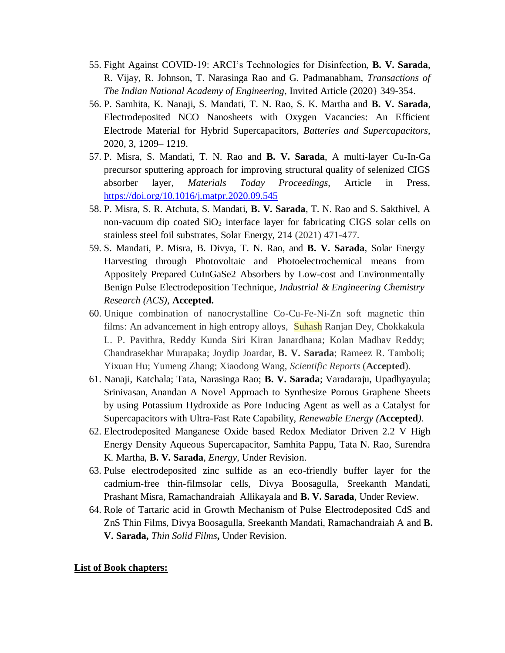- 55. Fight Against COVID-19: ARCI's Technologies for Disinfection, **B. V. Sarada**, R. Vijay, R. Johnson, T. Narasinga Rao and G. Padmanabham, *Transactions of The Indian National Academy of Engineering*, Invited Article (2020} 349-354.
- 56. P. Samhita, K. Nanaji, S. Mandati, T. N. Rao, S. K. Martha and **B. V. Sarada**, Electrodeposited NCO Nanosheets with Oxygen Vacancies: An Efficient Electrode Material for Hybrid Supercapacitors, *Batteries and Supercapacitors*, 2020, 3, 1209– 1219.
- 57. P. Misra, S. Mandati, T. N. Rao and **B. V. Sarada**, A multi-layer Cu-In-Ga precursor sputtering approach for improving structural quality of selenized CIGS absorber layer, *Materials Today Proceedings*, Article in Press, <https://doi.org/10.1016/j.matpr.2020.09.545>
- 58. P. Misra, S. R. Atchuta, S. Mandati, **B. V. Sarada**, T. N. Rao and S. Sakthivel, A non-vacuum dip coated  $SiO<sub>2</sub>$  interface layer for fabricating CIGS solar cells on stainless steel foil substrates, Solar Energy, [214](https://www.sciencedirect.com/science/journal/0038092X/214/supp/C) (2021) 471-477.
- 59. S. Mandati, P. Misra, B. Divya, T. N. Rao, and **B. V. Sarada**, Solar Energy Harvesting through Photovoltaic and Photoelectrochemical means from Appositely Prepared CuInGaSe2 Absorbers by Low-cost and Environmentally Benign Pulse Electrodeposition Technique, *Industrial & Engineering Chemistry Research (ACS)*, **Accepted.**
- 60. Unique combination of nanocrystalline Co-Cu-Fe-Ni-Zn soft magnetic thin films: An advancement in high entropy alloys, Suhash Ranjan Dey, Chokkakula L. P. Pavithra, Reddy Kunda Siri Kiran Janardhana; Kolan Madhav Reddy; Chandrasekhar Murapaka; Joydip Joardar, **B. V. Sarada**; Rameez R. Tamboli; Yixuan Hu; Yumeng Zhang; Xiaodong Wang, *Scientific Reports* (**Accepted**).
- 61. Nanaji, Katchala; Tata, Narasinga Rao; **B. V. Sarada**; Varadaraju, Upadhyayula; Srinivasan, Anandan A Novel Approach to Synthesize Porous Graphene Sheets by using Potassium Hydroxide as Pore Inducing Agent as well as a Catalyst for Supercapacitors with Ultra-Fast Rate Capability, *Renewable Energy (***Accepted***)*.
- 62. Electrodeposited Manganese Oxide based Redox Mediator Driven 2.2 V High Energy Density Aqueous Supercapacitor, Samhita Pappu, Tata N. Rao, Surendra K. Martha, **B. V. Sarada**, *Energy*, Under Revision.
- 63. Pulse electrodeposited zinc sulfide as an eco-friendly buffer layer for the cadmium-free thin-filmsolar cells, Divya Boosagulla, Sreekanth Mandati, Prashant Misra, Ramachandraiah Allikayala and **B. V. Sarada**, Under Review.
- 64. Role of Tartaric acid in Growth Mechanism of Pulse Electrodeposited CdS and ZnS Thin Films, Divya Boosagulla, Sreekanth Mandati, Ramachandraiah A and **B. V. Sarada,** *Thin Solid Films***,** Under Revision.

#### **List of Book chapters:**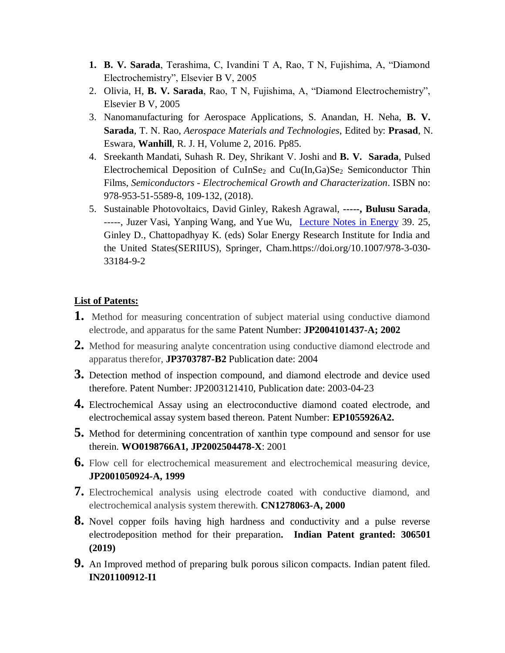- **1. B. V. Sarada**, Terashima, C, Ivandini T A, Rao, T N, Fujishima, A, "Diamond Electrochemistry", Elsevier B V, 2005
- 2. Olivia, H, **B. V. Sarada**, Rao, T N, Fujishima, A, "Diamond Electrochemistry", Elsevier B V, 2005
- 3. Nanomanufacturing for Aerospace Applications, S. Anandan, H. Neha, **B. V. Sarada**, T. N. Rao, *Aerospace Materials and Technologies*, Edited by: **Prasad**, N. Eswara, **Wanhill**, R. J. H, Volume 2, 2016. Pp85.
- 4. Sreekanth Mandati, Suhash R. Dey, Shrikant V. Joshi and **B. V. Sarada**, Pulsed Electrochemical Deposition of CuInSe<sub>2</sub> and Cu(In,Ga)Se<sub>2</sub> Semiconductor Thin Films, *Semiconductors - Electrochemical Growth and Characterization*. ISBN no: 978-953-51-5589-8, 109-132, (2018).
- 5. Sustainable Photovoltaics, David Ginley, Rakesh Agrawal, **-----, Bulusu Sarada**, -----, Juzer Vasi, Yanping Wang, and Yue Wu, [Lecture Notes in Energy](https://www.scopus.com/sourceid/21100248895?origin=resultslist) 39. 25, Ginley D., Chattopadhyay K. (eds) Solar Energy Research Institute for India and the United States(SERIIUS), Springer, Cham.https://doi.org/10.1007/978-3-030- 33184-9-2

#### **List of Patents:**

- **1.** [Method for measuring concentration of subject material using conductive diamond](http://apps.webofknowledge.com/full_record.do?product=UA&search_mode=GeneralSearch&qid=1&SID=X2S82X2d4a95YUt1FtS&page=1&doc=6)  [electrode, and apparatus for the same](http://apps.webofknowledge.com/full_record.do?product=UA&search_mode=GeneralSearch&qid=1&SID=X2S82X2d4a95YUt1FtS&page=1&doc=6) Patent Number: **JP2004101437-A; 2002**
- **2.** Method for measuring analyte concentration using conductive diamond electrode and apparatus therefor, **JP3703787-B2** Publication date: 2004
- **3.** Detection method of inspection compound, and diamond electrode and device used therefore. Patent Number: JP2003121410, Publication date: 2003-04-23
- **4.** Electrochemical Assay using an electroconductive diamond coated electrode, and electrochemical assay system based thereon. Patent Number: **EP1055926A2.**
- **5.** Method for determining concentration of xanthin type compound and sensor for use therein. **WO0198766A1, JP2002504478-X**: 2001
- **6.** Flow cell for electrochemical measurement and electrochemical measuring device, **JP2001050924-A, 1999**
- **7.** Electrochemical analysis using electrode coated with conductive diamond, and electrochemical analysis system therewith. **CN1278063-A, 2000**
- **8.** Novel copper foils having high hardness and conductivity and a pulse reverse electrodeposition method for their preparation**. Indian Patent granted: 306501 (2019)**
- **9.** An Improved method of preparing bulk porous silicon compacts. Indian patent filed. **IN201100912-I1**